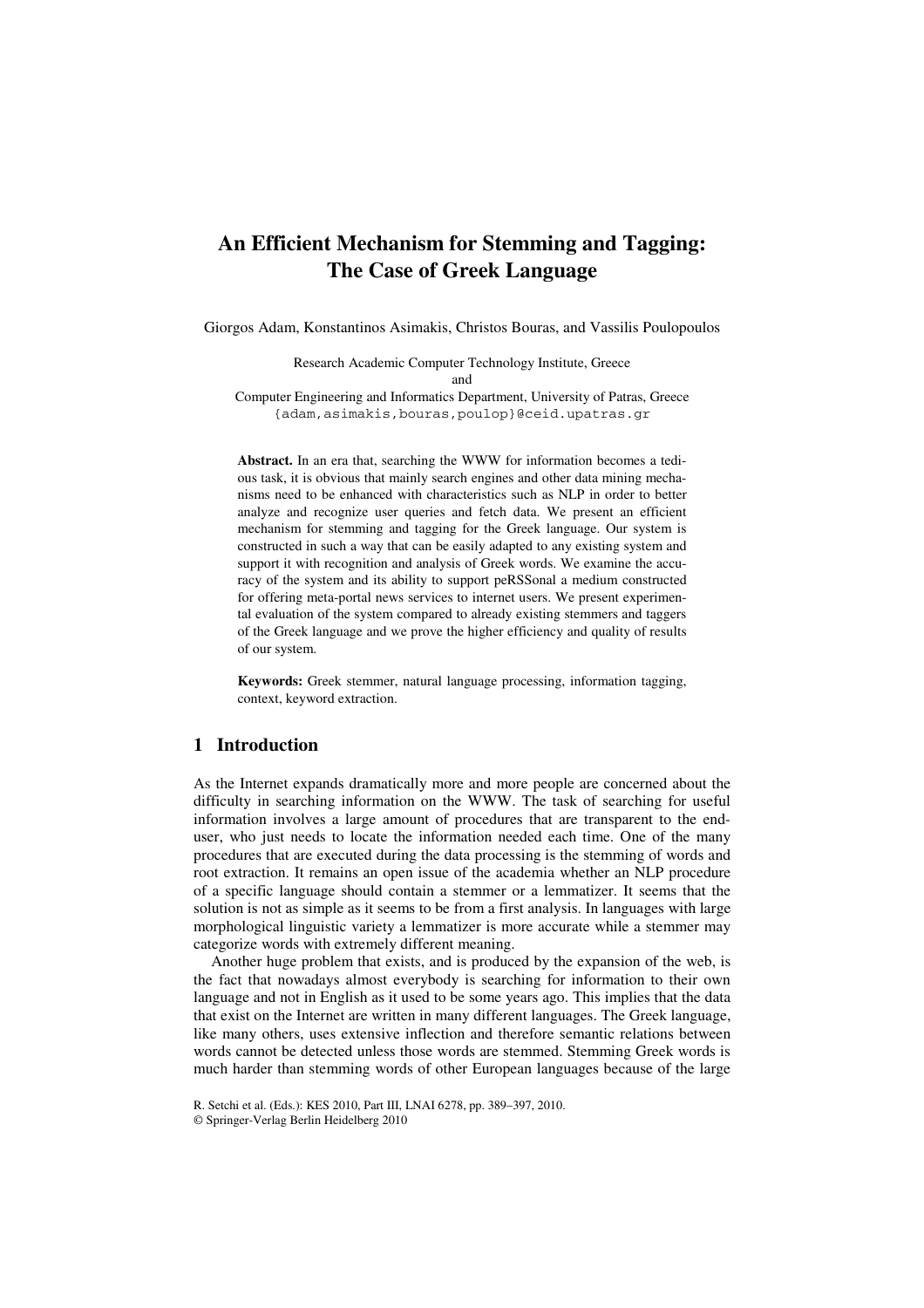# **An Efficient Mechanism for Stemming and Tagging: The Case of Greek Language**

Giorgos Adam, Konstantinos Asimakis, Christos Bouras, and Vassilis Poulopoulos

Research Academic Computer Technology Institute, Greece and

Computer Engineering and Informatics Department, University of Patras, Greece {adam,asimakis,bouras,poulop}@ceid.upatras.gr

**Abstract.** In an era that, searching the WWW for information becomes a tedious task, it is obvious that mainly search engines and other data mining mechanisms need to be enhanced with characteristics such as NLP in order to better analyze and recognize user queries and fetch data. We present an efficient mechanism for stemming and tagging for the Greek language. Our system is constructed in such a way that can be easily adapted to any existing system and support it with recognition and analysis of Greek words. We examine the accuracy of the system and its ability to support peRSSonal a medium constructed for offering meta-portal news services to internet users. We present experimental evaluation of the system compared to already existing stemmers and taggers of the Greek language and we prove the higher efficiency and quality of results of our system.

**Keywords:** Greek stemmer, natural language processing, information tagging, context, keyword extraction.

## **1 Introduction**

As the Internet expands dramatically more and more people are concerned about the difficulty in searching information on the WWW. The task of searching for useful information involves a large amount of procedures that are transparent to the enduser, who just needs to locate the information needed each time. One of the many procedures that are executed during the data processing is the stemming of words and root extraction. It remains an open issue of the academia whether an NLP procedure of a specific language should contain a stemmer or a lemmatizer. It seems that the solution is not as simple as it seems to be from a first analysis. In languages with large morphological linguistic variety a lemmatizer is more accurate while a stemmer may categorize words with extremely different meaning.

Another huge problem that exists, and is produced by the expansion of the web, is the fact that nowadays almost everybody is searching for information to their own language and not in English as it used to be some years ago. This implies that the data that exist on the Internet are written in many different languages. The Greek language, like many others, uses extensive inflection and therefore semantic relations between words cannot be detected unless those words are stemmed. Stemming Greek words is much harder than stemming words of other European languages because of the large

R. Setchi et al. (Eds.): KES 2010, Part III, LNAI 6278, pp. 389–397, 2010.

<sup>©</sup> Springer-Verlag Berlin Heidelberg 2010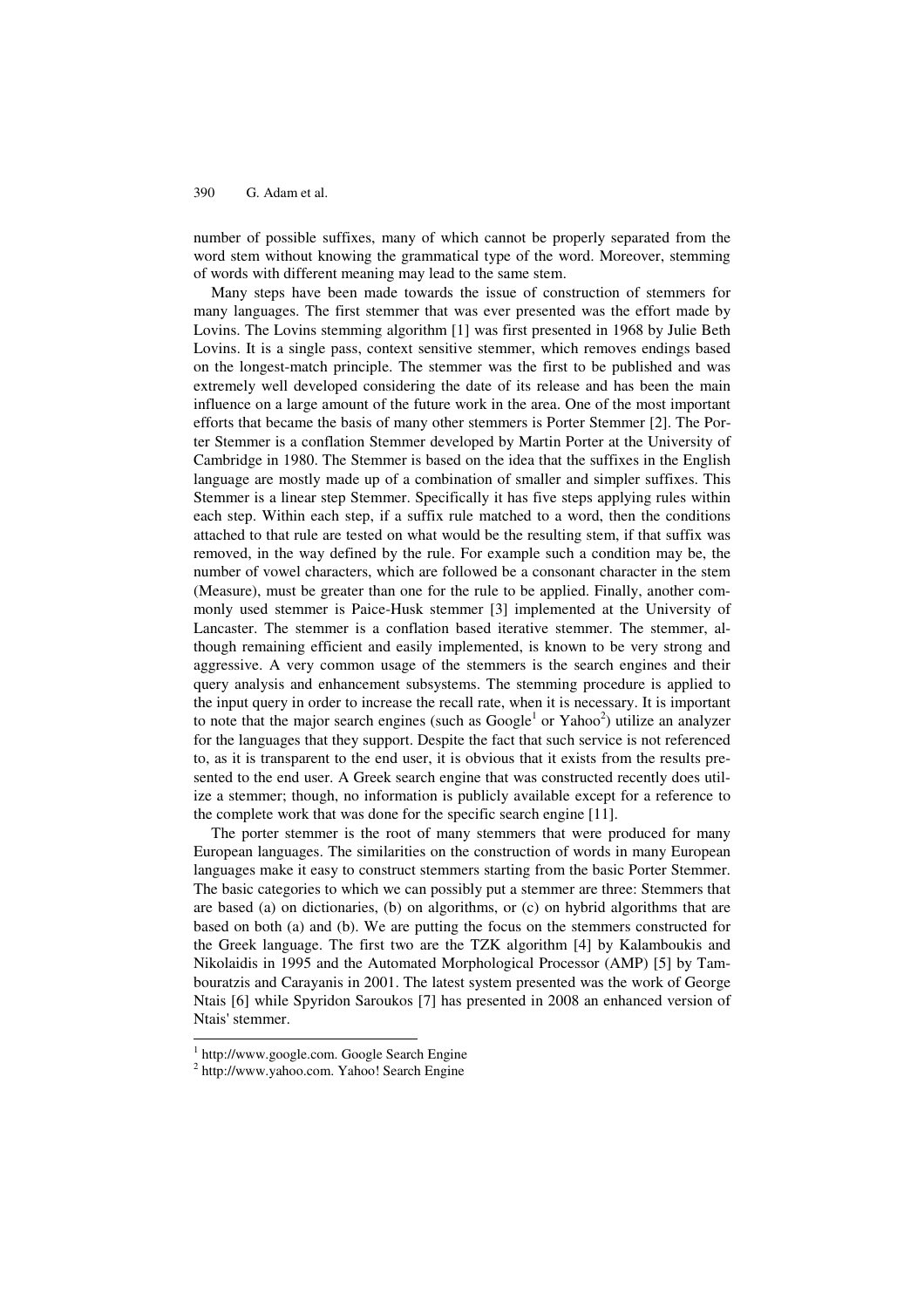number of possible suffixes, many of which cannot be properly separated from the word stem without knowing the grammatical type of the word. Moreover, stemming of words with different meaning may lead to the same stem.

Many steps have been made towards the issue of construction of stemmers for many languages. The first stemmer that was ever presented was the effort made by Lovins. The Lovins stemming algorithm [1] was first presented in 1968 by Julie Beth Lovins. It is a single pass, context sensitive stemmer, which removes endings based on the longest-match principle. The stemmer was the first to be published and was extremely well developed considering the date of its release and has been the main influence on a large amount of the future work in the area. One of the most important efforts that became the basis of many other stemmers is Porter Stemmer [2]. The Porter Stemmer is a conflation Stemmer developed by Martin Porter at the University of Cambridge in 1980. The Stemmer is based on the idea that the suffixes in the English language are mostly made up of a combination of smaller and simpler suffixes. This Stemmer is a linear step Stemmer. Specifically it has five steps applying rules within each step. Within each step, if a suffix rule matched to a word, then the conditions attached to that rule are tested on what would be the resulting stem, if that suffix was removed, in the way defined by the rule. For example such a condition may be, the number of vowel characters, which are followed be a consonant character in the stem (Measure), must be greater than one for the rule to be applied. Finally, another commonly used stemmer is Paice-Husk stemmer [3] implemented at the University of Lancaster. The stemmer is a conflation based iterative stemmer. The stemmer, although remaining efficient and easily implemented, is known to be very strong and aggressive. A very common usage of the stemmers is the search engines and their query analysis and enhancement subsystems. The stemming procedure is applied to the input query in order to increase the recall rate, when it is necessary. It is important to note that the major search engines (such as  $Google<sup>1</sup>$  or  $Yahoo<sup>2</sup>$ ) utilize an analyzer for the languages that they support. Despite the fact that such service is not referenced to, as it is transparent to the end user, it is obvious that it exists from the results presented to the end user. A Greek search engine that was constructed recently does utilize a stemmer; though, no information is publicly available except for a reference to the complete work that was done for the specific search engine [11].

The porter stemmer is the root of many stemmers that were produced for many European languages. The similarities on the construction of words in many European languages make it easy to construct stemmers starting from the basic Porter Stemmer. The basic categories to which we can possibly put a stemmer are three: Stemmers that are based (a) on dictionaries, (b) on algorithms, or (c) on hybrid algorithms that are based on both (a) and (b). We are putting the focus on the stemmers constructed for the Greek language. The first two are the TZK algorithm [4] by Kalamboukis and Nikolaidis in 1995 and the Automated Morphological Processor (AMP) [5] by Tambouratzis and Carayanis in 2001. The latest system presented was the work of George Ntais [6] while Spyridon Saroukos [7] has presented in 2008 an enhanced version of Ntais' stemmer.

-

<sup>1</sup> http://www.google.com. Google Search Engine

<sup>2</sup> http://www.yahoo.com. Yahoo! Search Engine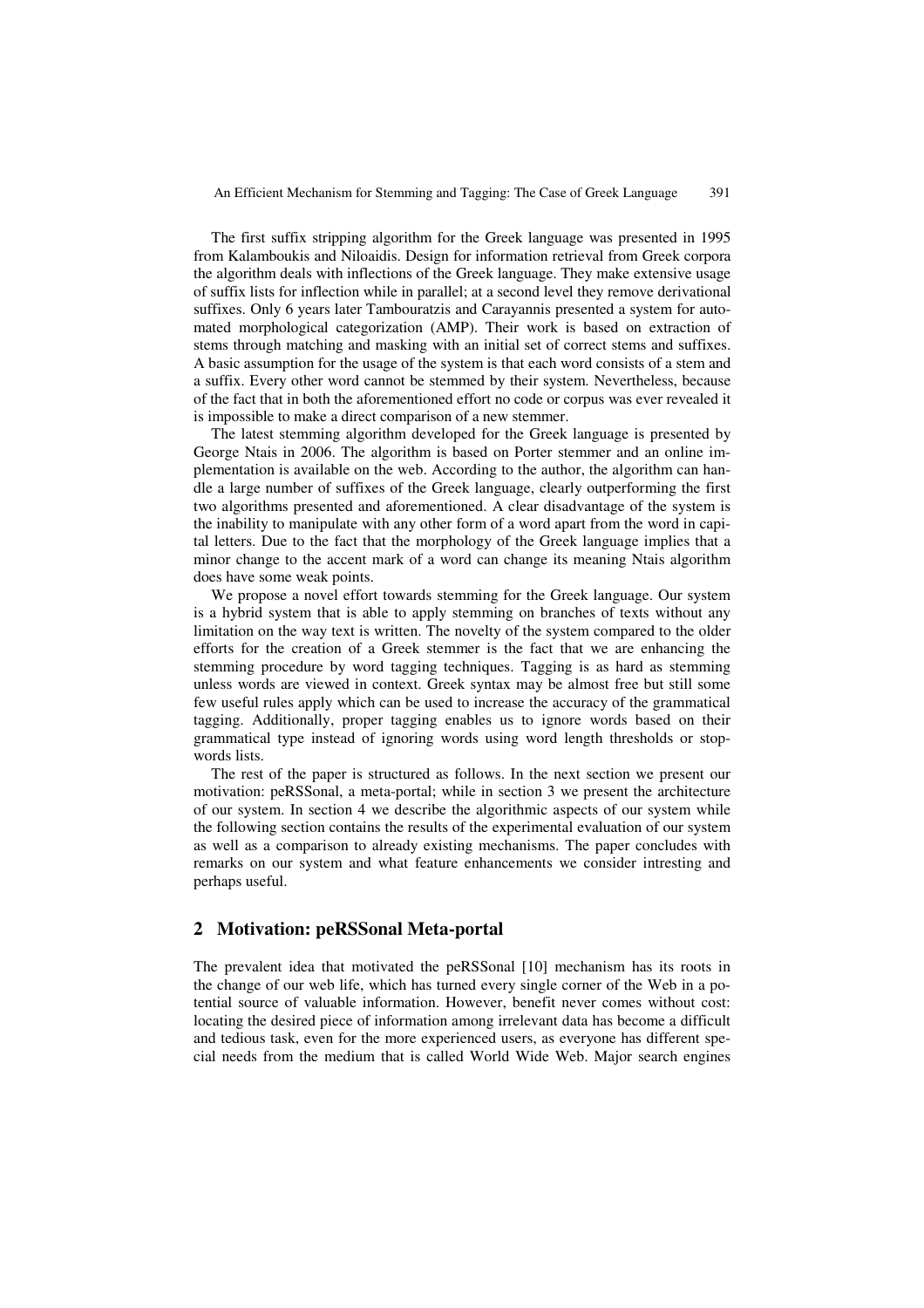The first suffix stripping algorithm for the Greek language was presented in 1995 from Kalamboukis and Niloaidis. Design for information retrieval from Greek corpora the algorithm deals with inflections of the Greek language. They make extensive usage of suffix lists for inflection while in parallel; at a second level they remove derivational suffixes. Only 6 years later Tambouratzis and Carayannis presented a system for automated morphological categorization (AMP). Their work is based on extraction of stems through matching and masking with an initial set of correct stems and suffixes. A basic assumption for the usage of the system is that each word consists of a stem and a suffix. Every other word cannot be stemmed by their system. Nevertheless, because of the fact that in both the aforementioned effort no code or corpus was ever revealed it is impossible to make a direct comparison of a new stemmer.

The latest stemming algorithm developed for the Greek language is presented by George Ntais in 2006. The algorithm is based on Porter stemmer and an online implementation is available on the web. According to the author, the algorithm can handle a large number of suffixes of the Greek language, clearly outperforming the first two algorithms presented and aforementioned. A clear disadvantage of the system is the inability to manipulate with any other form of a word apart from the word in capital letters. Due to the fact that the morphology of the Greek language implies that a minor change to the accent mark of a word can change its meaning Ntais algorithm does have some weak points.

We propose a novel effort towards stemming for the Greek language. Our system is a hybrid system that is able to apply stemming on branches of texts without any limitation on the way text is written. The novelty of the system compared to the older efforts for the creation of a Greek stemmer is the fact that we are enhancing the stemming procedure by word tagging techniques. Tagging is as hard as stemming unless words are viewed in context. Greek syntax may be almost free but still some few useful rules apply which can be used to increase the accuracy of the grammatical tagging. Additionally, proper tagging enables us to ignore words based on their grammatical type instead of ignoring words using word length thresholds or stopwords lists.

The rest of the paper is structured as follows. In the next section we present our motivation: peRSSonal, a meta-portal; while in section 3 we present the architecture of our system. In section 4 we describe the algorithmic aspects of our system while the following section contains the results of the experimental evaluation of our system as well as a comparison to already existing mechanisms. The paper concludes with remarks on our system and what feature enhancements we consider intresting and perhaps useful.

### **2 Motivation: peRSSonal Meta-portal**

The prevalent idea that motivated the peRSSonal [10] mechanism has its roots in the change of our web life, which has turned every single corner of the Web in a potential source of valuable information. However, benefit never comes without cost: locating the desired piece of information among irrelevant data has become a difficult and tedious task, even for the more experienced users, as everyone has different special needs from the medium that is called World Wide Web. Major search engines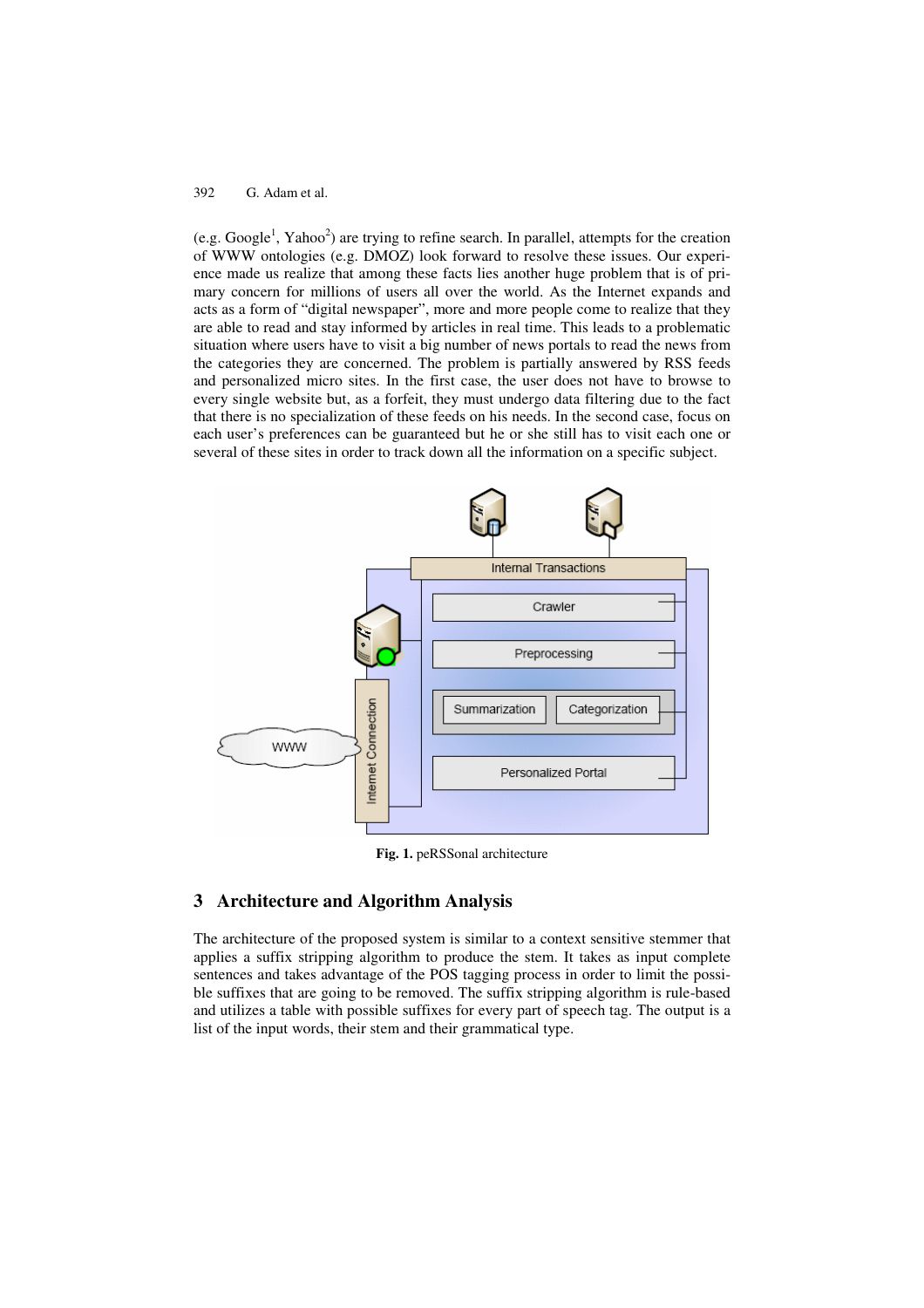(e.g. Google<sup>1</sup>, Yahoo<sup>2</sup>) are trying to refine search. In parallel, attempts for the creation of WWW ontologies (e.g. DMOZ) look forward to resolve these issues. Our experience made us realize that among these facts lies another huge problem that is of primary concern for millions of users all over the world. As the Internet expands and acts as a form of "digital newspaper", more and more people come to realize that they are able to read and stay informed by articles in real time. This leads to a problematic situation where users have to visit a big number of news portals to read the news from the categories they are concerned. The problem is partially answered by RSS feeds and personalized micro sites. In the first case, the user does not have to browse to every single website but, as a forfeit, they must undergo data filtering due to the fact that there is no specialization of these feeds on his needs. In the second case, focus on each user's preferences can be guaranteed but he or she still has to visit each one or several of these sites in order to track down all the information on a specific subject.



**Fig. 1.** peRSSonal architecture

# **3 Architecture and Algorithm Analysis**

The architecture of the proposed system is similar to a context sensitive stemmer that applies a suffix stripping algorithm to produce the stem. It takes as input complete sentences and takes advantage of the POS tagging process in order to limit the possible suffixes that are going to be removed. The suffix stripping algorithm is rule-based and utilizes a table with possible suffixes for every part of speech tag. The output is a list of the input words, their stem and their grammatical type.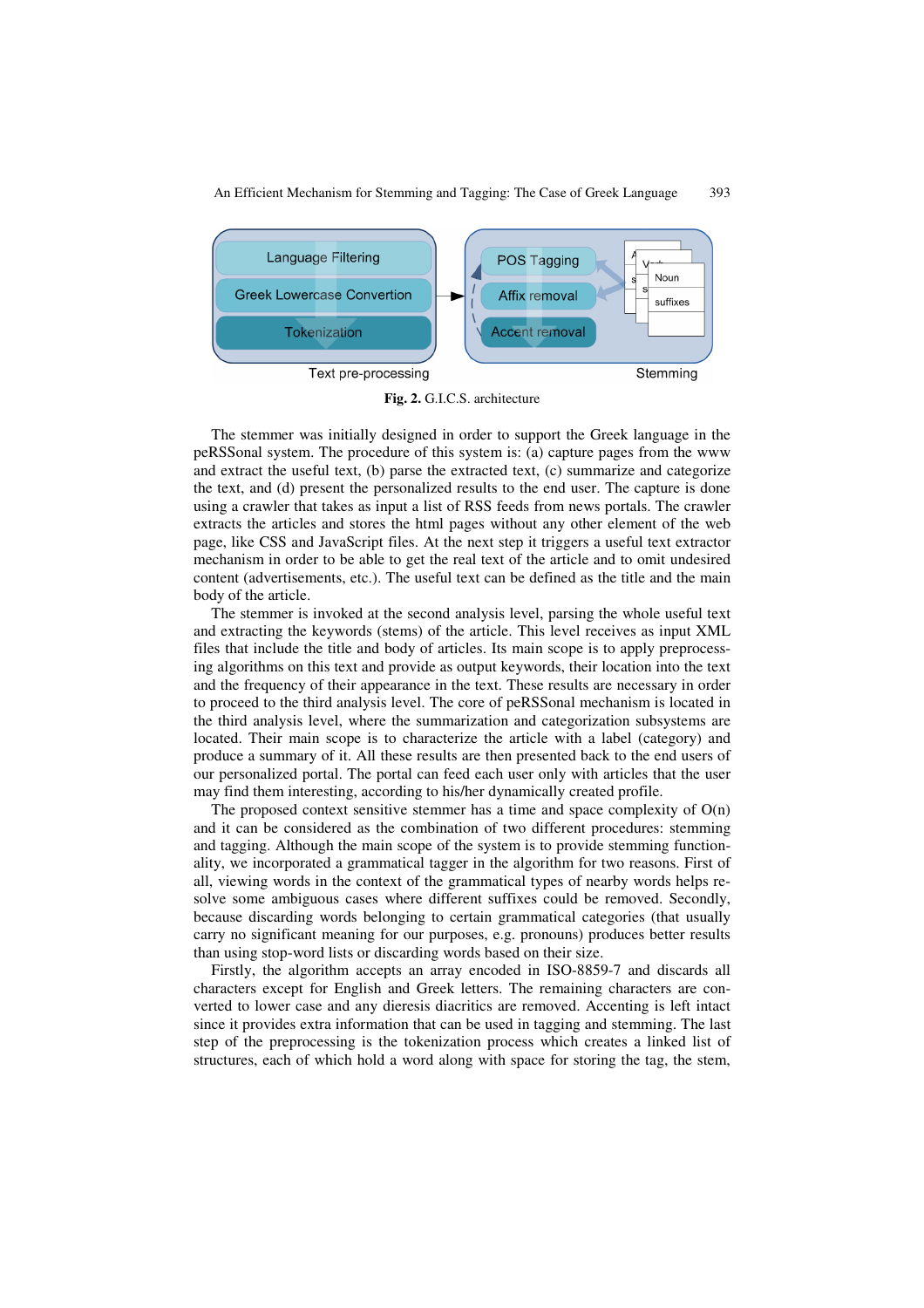



**Fig. 2.** G.I.C.S. architecture

The stemmer was initially designed in order to support the Greek language in the peRSSonal system. The procedure of this system is: (a) capture pages from the www and extract the useful text, (b) parse the extracted text, (c) summarize and categorize the text, and (d) present the personalized results to the end user. The capture is done using a crawler that takes as input a list of RSS feeds from news portals. The crawler extracts the articles and stores the html pages without any other element of the web page, like CSS and JavaScript files. At the next step it triggers a useful text extractor mechanism in order to be able to get the real text of the article and to omit undesired content (advertisements, etc.). The useful text can be defined as the title and the main body of the article.

The stemmer is invoked at the second analysis level, parsing the whole useful text and extracting the keywords (stems) of the article. This level receives as input XML files that include the title and body of articles. Its main scope is to apply preprocessing algorithms on this text and provide as output keywords, their location into the text and the frequency of their appearance in the text. These results are necessary in order to proceed to the third analysis level. The core of peRSSonal mechanism is located in the third analysis level, where the summarization and categorization subsystems are located. Their main scope is to characterize the article with a label (category) and produce a summary of it. All these results are then presented back to the end users of our personalized portal. The portal can feed each user only with articles that the user may find them interesting, according to his/her dynamically created profile.

The proposed context sensitive stemmer has a time and space complexity of  $O(n)$ and it can be considered as the combination of two different procedures: stemming and tagging. Although the main scope of the system is to provide stemming functionality, we incorporated a grammatical tagger in the algorithm for two reasons. First of all, viewing words in the context of the grammatical types of nearby words helps resolve some ambiguous cases where different suffixes could be removed. Secondly, because discarding words belonging to certain grammatical categories (that usually carry no significant meaning for our purposes, e.g. pronouns) produces better results than using stop-word lists or discarding words based on their size.

Firstly, the algorithm accepts an array encoded in ISO-8859-7 and discards all characters except for English and Greek letters. The remaining characters are converted to lower case and any dieresis diacritics are removed. Accenting is left intact since it provides extra information that can be used in tagging and stemming. The last step of the preprocessing is the tokenization process which creates a linked list of structures, each of which hold a word along with space for storing the tag, the stem,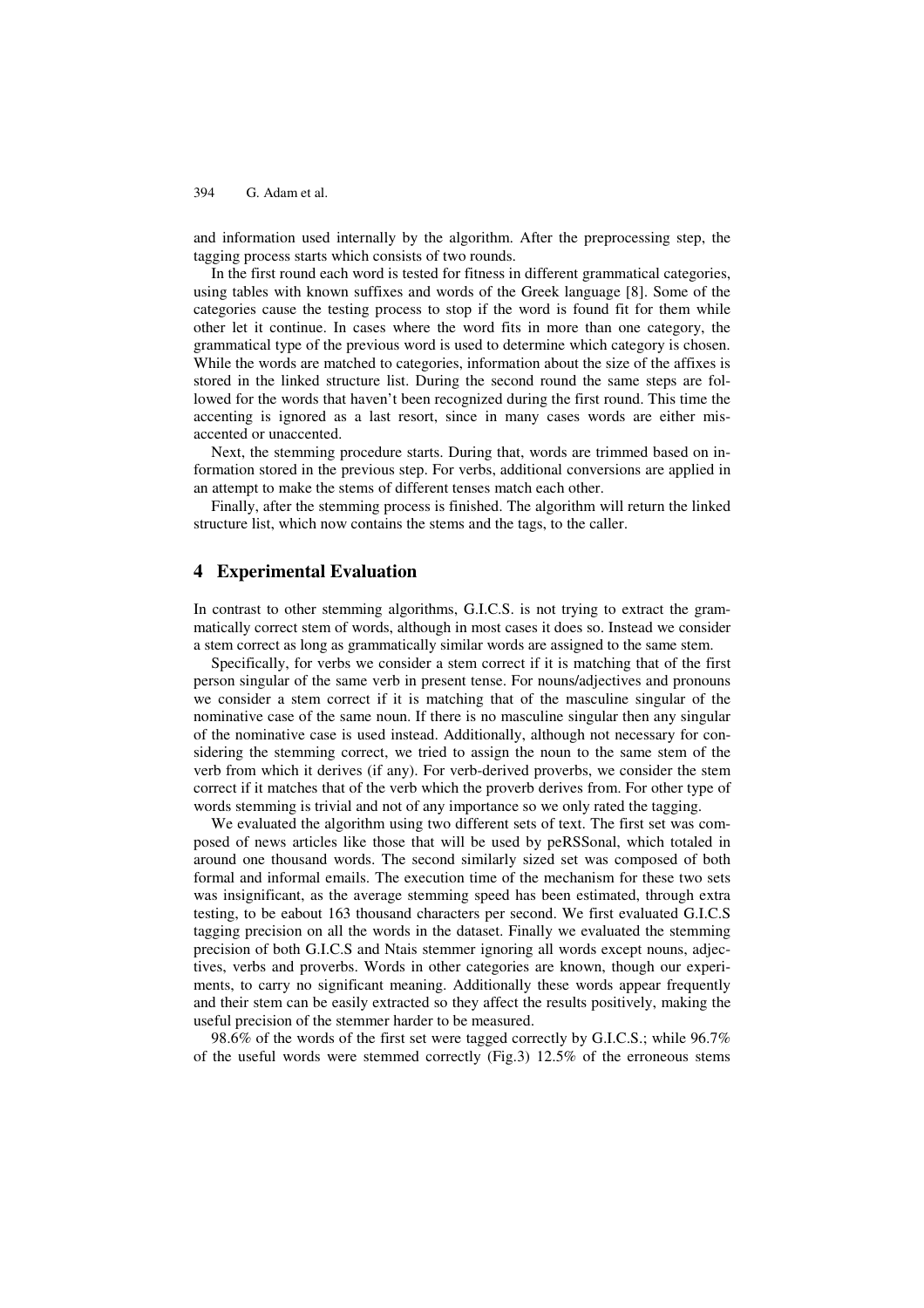and information used internally by the algorithm. After the preprocessing step, the tagging process starts which consists of two rounds.

In the first round each word is tested for fitness in different grammatical categories, using tables with known suffixes and words of the Greek language [8]. Some of the categories cause the testing process to stop if the word is found fit for them while other let it continue. In cases where the word fits in more than one category, the grammatical type of the previous word is used to determine which category is chosen. While the words are matched to categories, information about the size of the affixes is stored in the linked structure list. During the second round the same steps are followed for the words that haven't been recognized during the first round. This time the accenting is ignored as a last resort, since in many cases words are either misaccented or unaccented.

Next, the stemming procedure starts. During that, words are trimmed based on information stored in the previous step. For verbs, additional conversions are applied in an attempt to make the stems of different tenses match each other.

Finally, after the stemming process is finished. The algorithm will return the linked structure list, which now contains the stems and the tags, to the caller.

### **4 Experimental Evaluation**

In contrast to other stemming algorithms, G.I.C.S. is not trying to extract the grammatically correct stem of words, although in most cases it does so. Instead we consider a stem correct as long as grammatically similar words are assigned to the same stem.

Specifically, for verbs we consider a stem correct if it is matching that of the first person singular of the same verb in present tense. For nouns/adjectives and pronouns we consider a stem correct if it is matching that of the masculine singular of the nominative case of the same noun. If there is no masculine singular then any singular of the nominative case is used instead. Additionally, although not necessary for considering the stemming correct, we tried to assign the noun to the same stem of the verb from which it derives (if any). For verb-derived proverbs, we consider the stem correct if it matches that of the verb which the proverb derives from. For other type of words stemming is trivial and not of any importance so we only rated the tagging.

We evaluated the algorithm using two different sets of text. The first set was composed of news articles like those that will be used by peRSSonal, which totaled in around one thousand words. The second similarly sized set was composed of both formal and informal emails. The execution time of the mechanism for these two sets was insignificant, as the average stemming speed has been estimated, through extra testing, to be eabout 163 thousand characters per second. We first evaluated G.I.C.S tagging precision on all the words in the dataset. Finally we evaluated the stemming precision of both G.I.C.S and Ntais stemmer ignoring all words except nouns, adjectives, verbs and proverbs. Words in other categories are known, though our experiments, to carry no significant meaning. Additionally these words appear frequently and their stem can be easily extracted so they affect the results positively, making the useful precision of the stemmer harder to be measured.

98.6% of the words of the first set were tagged correctly by G.I.C.S.; while 96.7% of the useful words were stemmed correctly (Fig.3) 12.5% of the erroneous stems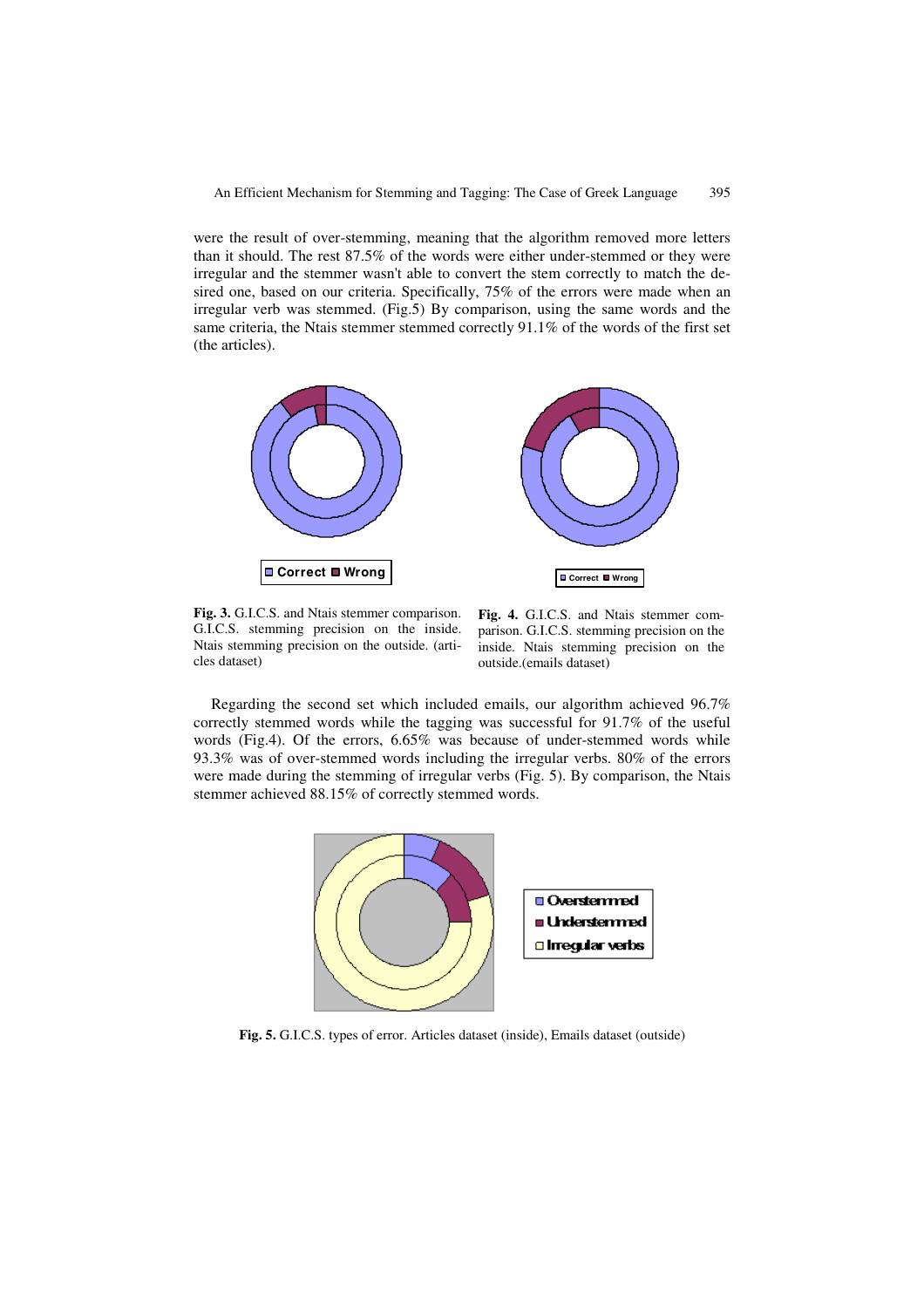were the result of over-stemming, meaning that the algorithm removed more letters than it should. The rest 87.5% of the words were either under-stemmed or they were irregular and the stemmer wasn't able to convert the stem correctly to match the desired one, based on our criteria. Specifically, 75% of the errors were made when an irregular verb was stemmed. (Fig.5) By comparison, using the same words and the same criteria, the Ntais stemmer stemmed correctly 91.1% of the words of the first set (the articles).



**Fig. 3.** G.I.C.S. and Ntais stemmer comparison. G.I.C.S. stemming precision on the inside. Ntais stemming precision on the outside. (articles dataset)

**Fig. 4.** G.I.C.S. and Ntais stemmer comparison. G.I.C.S. stemming precision on the inside. Ntais stemming precision on the outside.(emails dataset)

Regarding the second set which included emails, our algorithm achieved 96.7% correctly stemmed words while the tagging was successful for 91.7% of the useful words (Fig.4). Of the errors, 6.65% was because of under-stemmed words while 93.3% was of over-stemmed words including the irregular verbs. 80% of the errors were made during the stemming of irregular verbs (Fig. 5). By comparison, the Ntais stemmer achieved 88.15% of correctly stemmed words.



**Fig. 5.** G.I.C.S. types of error. Articles dataset (inside), Emails dataset (outside)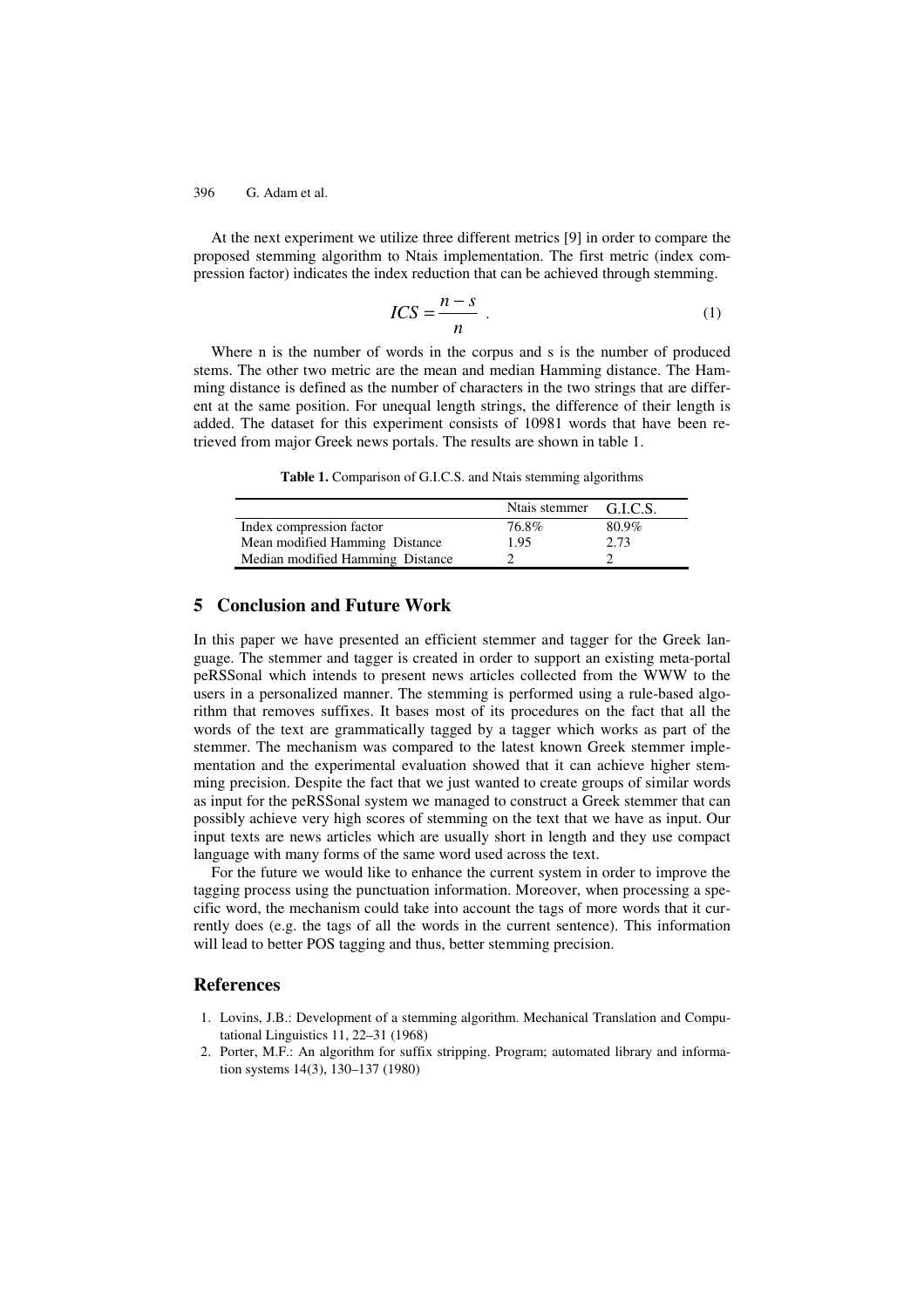At the next experiment we utilize three different metrics [9] in order to compare the proposed stemming algorithm to Ntais implementation. The first metric (index compression factor) indicates the index reduction that can be achieved through stemming.

$$
ICS = \frac{n - s}{n} \tag{1}
$$

Where n is the number of words in the corpus and s is the number of produced stems. The other two metric are the mean and median Hamming distance. The Hamming distance is defined as the number of characters in the two strings that are different at the same position. For unequal length strings, the difference of their length is added. The dataset for this experiment consists of 10981 words that have been retrieved from major Greek news portals. The results are shown in table 1.

**Table 1.** Comparison of G.I.C.S. and Ntais stemming algorithms

|                                  | Ntais stemmer | G.LC.S. |
|----------------------------------|---------------|---------|
| Index compression factor         | 76.8%         | 80.9%   |
| Mean modified Hamming Distance   | 1.95          | 2.73    |
| Median modified Hamming Distance |               |         |

# **5 Conclusion and Future Work**

In this paper we have presented an efficient stemmer and tagger for the Greek language. The stemmer and tagger is created in order to support an existing meta-portal peRSSonal which intends to present news articles collected from the WWW to the users in a personalized manner. The stemming is performed using a rule-based algorithm that removes suffixes. It bases most of its procedures on the fact that all the words of the text are grammatically tagged by a tagger which works as part of the stemmer. The mechanism was compared to the latest known Greek stemmer implementation and the experimental evaluation showed that it can achieve higher stemming precision. Despite the fact that we just wanted to create groups of similar words as input for the peRSSonal system we managed to construct a Greek stemmer that can possibly achieve very high scores of stemming on the text that we have as input. Our input texts are news articles which are usually short in length and they use compact language with many forms of the same word used across the text.

For the future we would like to enhance the current system in order to improve the tagging process using the punctuation information. Moreover, when processing a specific word, the mechanism could take into account the tags of more words that it currently does (e.g. the tags of all the words in the current sentence). This information will lead to better POS tagging and thus, better stemming precision.

### **References**

- 1. Lovins, J.B.: Development of a stemming algorithm. Mechanical Translation and Computational Linguistics 11, 22–31 (1968)
- 2. Porter, M.F.: An algorithm for suffix stripping. Program; automated library and information systems 14(3), 130–137 (1980)